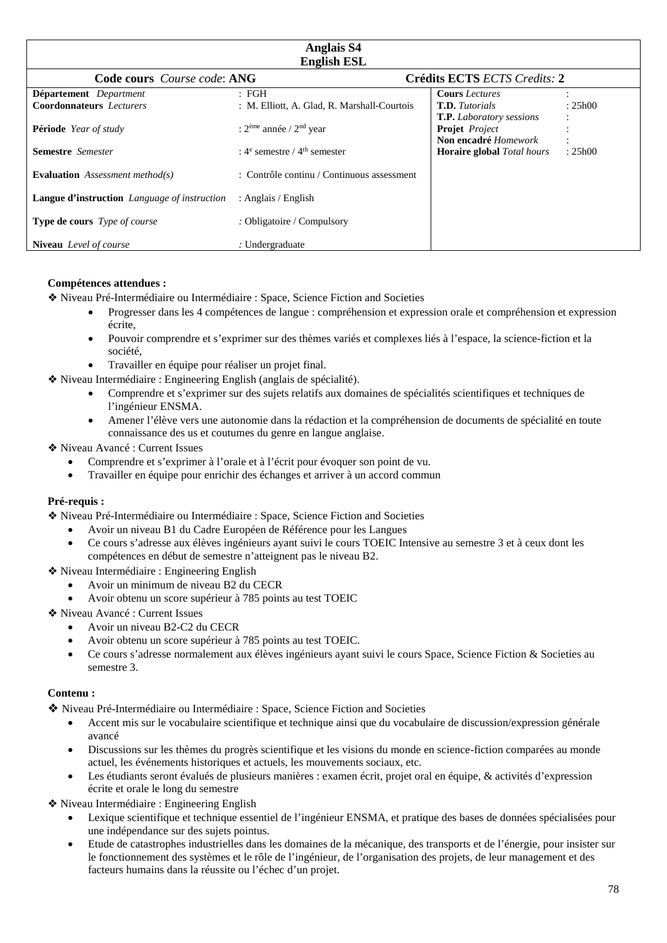| <b>Anglais S4</b><br><b>English ESL</b>      |                                                       |                                   |         |
|----------------------------------------------|-------------------------------------------------------|-----------------------------------|---------|
| <b>Code cours</b> <i>Course code</i> : ANG   |                                                       | Crédits ECTS ECTS Credits: 2      |         |
| Département Department                       | : FGH                                                 | <b>Cours</b> Lectures             |         |
| <b>Coordonnateurs</b> Lecturers              | : M. Elliott, A. Glad, R. Marshall-Courtois           | <b>T.D.</b> Tutorials             | : 25h00 |
|                                              |                                                       | <b>T.P.</b> Laboratory sessions   |         |
| <b>Période</b> Year of study                 | : $2eme$ année / $2nd$ year                           | <b>Projet</b> Project             |         |
|                                              |                                                       | Non encadré Homework              |         |
| <b>Semestre</b> Semester                     | : $4^e$ semestre / $4^{\text{th}}$ semester           | <b>Horaire global</b> Total hours | : 25h00 |
| <b>Evaluation</b> Assessment method(s)       | $\therefore$ Contrôle continu / Continuous assessment |                                   |         |
| Langue d'instruction Language of instruction | : Anglais / English                                   |                                   |         |
| <b>Type de cours</b> <i>Type of course</i>   | : Obligatoire / Compulsory                            |                                   |         |
| <b>Niveau</b> Level of course                | : Undergraduate                                       |                                   |         |

#### **Compétences attendues :**

❖ Niveau Pré-Intermédiaire ou Intermédiaire : Space, Science Fiction and Societies

- Progresser dans les 4 compétences de langue : compréhension et expression orale et compréhension et expression écrite,
- Pouvoir comprendre et s'exprimer sur des thèmes variés et complexes liés à l'espace, la science-fiction et la société,
- Travailler en équipe pour réaliser un projet final.
- ❖ Niveau Intermédiaire : Engineering English (anglais de spécialité).
	- Comprendre et s'exprimer sur des sujets relatifs aux domaines de spécialités scientifiques et techniques de l'ingénieur ENSMA.
	- Amener l'élève vers une autonomie dans la rédaction et la compréhension de documents de spécialité en toute connaissance des us et coutumes du genre en langue anglaise.
- ❖ Niveau Avancé : Current Issues
	- Comprendre et s'exprimer à l'orale et à l'écrit pour évoquer son point de vu.
	- Travailler en équipe pour enrichir des échanges et arriver à un accord commun

### **Pré-requis :**

❖ Niveau Pré-Intermédiaire ou Intermédiaire : Space, Science Fiction and Societies

- Avoir un niveau B1 du Cadre Européen de Référence pour les Langues
- Ce cours s'adresse aux élèves ingénieurs ayant suivi le cours TOEIC Intensive au semestre 3 et à ceux dont les compétences en début de semestre n'atteignent pas le niveau B2.

❖ Niveau Intermédiaire : Engineering English

- Avoir un minimum de niveau B2 du CECR
- Avoir obtenu un score supérieur à 785 points au test TOEIC
- ❖ Niveau Avancé : Current Issues
	- Avoir un niveau B2-C2 du CECR
	- Avoir obtenu un score supérieur à 785 points au test TOEIC.
	- Ce cours s'adresse normalement aux élèves ingénieurs ayant suivi le cours Space, Science Fiction & Societies au semestre 3.

### **Contenu :**

❖ Niveau Pré-Intermédiaire ou Intermédiaire : Space, Science Fiction and Societies

- Accent mis sur le vocabulaire scientifique et technique ainsi que du vocabulaire de discussion/expression générale avancé
- Discussions sur les thèmes du progrès scientifique et les visions du monde en science-fiction comparées au monde actuel, les événements historiques et actuels, les mouvements sociaux, etc.
- Les étudiants seront évalués de plusieurs manières : examen écrit, projet oral en équipe, & activités d'expression écrite et orale le long du semestre

❖ Niveau Intermédiaire : Engineering English

- Lexique scientifique et technique essentiel de l'ingénieur ENSMA, et pratique des bases de données spécialisées pour une indépendance sur des sujets pointus.
- Etude de catastrophes industrielles dans les domaines de la mécanique, des transports et de l'énergie, pour insister sur le fonctionnement des systèmes et le rôle de l'ingénieur, de l'organisation des projets, de leur management et des facteurs humains dans la réussite ou l'échec d'un projet.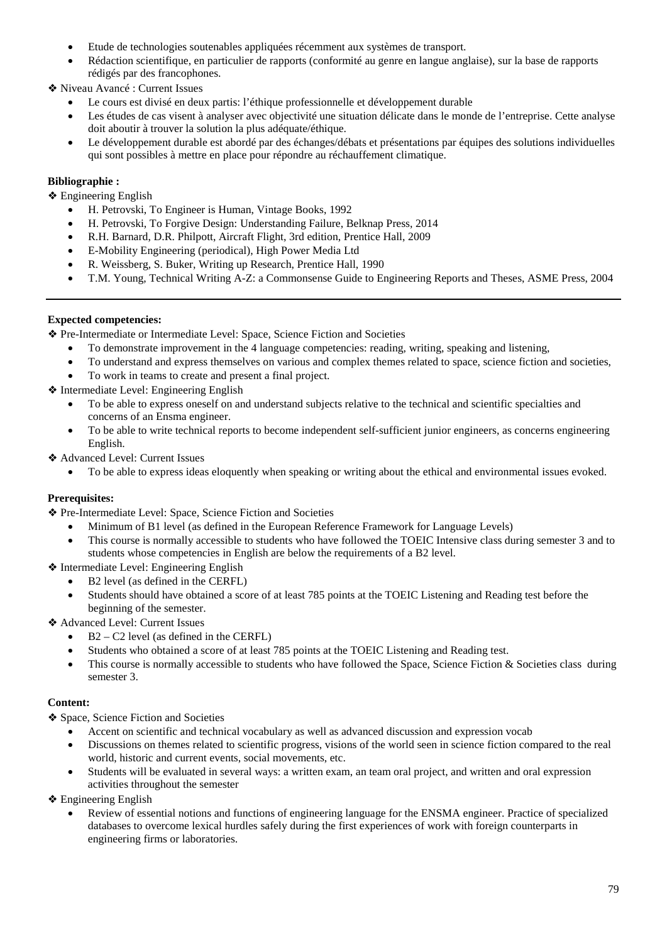- Etude de technologies soutenables appliquées récemment aux systèmes de transport.
- Rédaction scientifique, en particulier de rapports (conformité au genre en langue anglaise), sur la base de rapports rédigés par des francophones.

❖ Niveau Avancé : Current Issues

- Le cours est divisé en deux partis: l'éthique professionnelle et développement durable
- Les études de cas visent à analyser avec objectivité une situation délicate dans le monde de l'entreprise. Cette analyse doit aboutir à trouver la solution la plus adéquate/éthique.
- Le développement durable est abordé par des échanges/débats et présentations par équipes des solutions individuelles qui sont possibles à mettre en place pour répondre au réchauffement climatique.

# **Bibliographie :**

❖ Engineering English

- H. Petrovski, To Engineer is Human, Vintage Books, 1992
- H. Petrovski, To Forgive Design: Understanding Failure, Belknap Press, 2014
- R.H. Barnard, D.R. Philpott, Aircraft Flight, 3rd edition, Prentice Hall, 2009
- E-Mobility Engineering (periodical), High Power Media Ltd
- R. Weissberg, S. Buker, Writing up Research, Prentice Hall, 1990
- T.M. Young, Technical Writing A-Z: a Commonsense Guide to Engineering Reports and Theses, ASME Press, 2004

# **Expected competencies:**

❖ Pre-Intermediate or Intermediate Level: Space, Science Fiction and Societies

- To demonstrate improvement in the 4 language competencies: reading, writing, speaking and listening,
- To understand and express themselves on various and complex themes related to space, science fiction and societies,
- To work in teams to create and present a final project.

❖ Intermediate Level: Engineering English

- To be able to express oneself on and understand subjects relative to the technical and scientific specialties and concerns of an Ensma engineer.
- To be able to write technical reports to become independent self-sufficient junior engineers, as concerns engineering English.
- ❖ Advanced Level: Current Issues
	- To be able to express ideas eloquently when speaking or writing about the ethical and environmental issues evoked.

### **Prerequisites:**

❖ Pre-Intermediate Level: Space, Science Fiction and Societies

- Minimum of B1 level (as defined in the European Reference Framework for Language Levels)
- This course is normally accessible to students who have followed the TOEIC Intensive class during semester 3 and to students whose competencies in English are below the requirements of a B2 level.

❖ Intermediate Level: Engineering English

- B2 level (as defined in the CERFL)
- Students should have obtained a score of at least 785 points at the TOEIC Listening and Reading test before the beginning of the semester.

❖ Advanced Level: Current Issues

- $B2 C2$  level (as defined in the CERFL)
- Students who obtained a score of at least 785 points at the TOEIC Listening and Reading test.
- This course is normally accessible to students who have followed the Space, Science Fiction & Societies class during semester 3.

### **Content:**

❖ Space, Science Fiction and Societies

- Accent on scientific and technical vocabulary as well as advanced discussion and expression vocab
- Discussions on themes related to scientific progress, visions of the world seen in science fiction compared to the real world, historic and current events, social movements, etc.
- Students will be evaluated in several ways: a written exam, an team oral project, and written and oral expression activities throughout the semester

❖ Engineering English

• Review of essential notions and functions of engineering language for the ENSMA engineer. Practice of specialized databases to overcome lexical hurdles safely during the first experiences of work with foreign counterparts in engineering firms or laboratories.